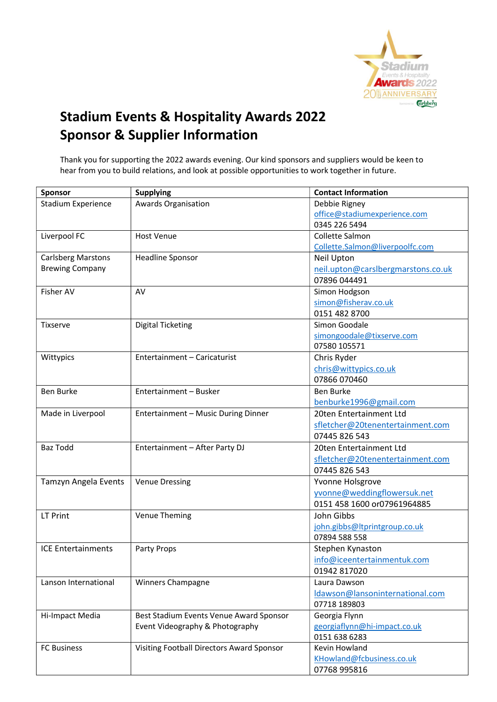

## Stadium Events & Hospitality Awards 2022 Sponsor & Supplier Information

Thank you for supporting the 2022 awards evening. Our kind sponsors and suppliers would be keen to hear from you to build relations, and look at possible opportunities to work together in future.

| <b>Sponsor</b>            | <b>Supplying</b>                          | <b>Contact Information</b>         |
|---------------------------|-------------------------------------------|------------------------------------|
| Stadium Experience        | Awards Organisation                       | Debbie Rigney                      |
|                           |                                           | office@stadiumexperience.com       |
|                           |                                           | 0345 226 5494                      |
| Liverpool FC              | <b>Host Venue</b>                         | Collette Salmon                    |
|                           |                                           | Collette.Salmon@liverpoolfc.com    |
| <b>Carlsberg Marstons</b> | <b>Headline Sponsor</b>                   | <b>Neil Upton</b>                  |
| <b>Brewing Company</b>    |                                           | neil.upton@carslbergmarstons.co.uk |
|                           |                                           | 07896 044491                       |
| Fisher AV                 | AV                                        | Simon Hodgson                      |
|                           |                                           | simon@fisherav.co.uk               |
|                           |                                           | 0151 482 8700                      |
| <b>Tixserve</b>           | <b>Digital Ticketing</b>                  | Simon Goodale                      |
|                           |                                           | simongoodale@tixserve.com          |
|                           |                                           | 07580 105571                       |
| Wittypics                 | Entertainment - Caricaturist              | Chris Ryder                        |
|                           |                                           | chris@wittypics.co.uk              |
|                           |                                           | 07866 070460                       |
| Ben Burke                 | Entertainment - Busker                    | <b>Ben Burke</b>                   |
|                           |                                           | benburke1996@gmail.com             |
| Made in Liverpool         | Entertainment - Music During Dinner       | 20ten Entertainment Ltd            |
|                           |                                           | sfletcher@20tenentertainment.com   |
|                           |                                           | 07445 826 543                      |
| <b>Baz Todd</b>           | Entertainment - After Party DJ            | 20ten Entertainment Ltd            |
|                           |                                           | sfletcher@20tenentertainment.com   |
|                           |                                           | 07445 826 543                      |
| Tamzyn Angela Events      | <b>Venue Dressing</b>                     | Yvonne Holsgrove                   |
|                           |                                           | yvonne@weddingflowersuk.net        |
|                           |                                           | 0151 458 1600 or07961964885        |
| LT Print                  | Venue Theming                             | John Gibbs                         |
|                           |                                           | john.gibbs@ltprintgroup.co.uk      |
|                           |                                           | 07894 588 558                      |
| <b>ICE Entertainments</b> | Party Props                               | Stephen Kynaston                   |
|                           |                                           | info@iceentertainmentuk.com        |
|                           |                                           | 01942 817020                       |
| Lanson International      | Winners Champagne                         | Laura Dawson                       |
|                           |                                           | Idawson@lansoninternational.com    |
|                           |                                           | 07718 189803                       |
| Hi-Impact Media           | Best Stadium Events Venue Award Sponsor   | Georgia Flynn                      |
|                           | Event Videography & Photography           | georgiaflynn@hi-impact.co.uk       |
|                           |                                           | 0151 638 6283                      |
| <b>FC Business</b>        | Visiting Football Directors Award Sponsor | <b>Kevin Howland</b>               |
|                           |                                           | KHowland@fcbusiness.co.uk          |
|                           |                                           | 07768 995816                       |